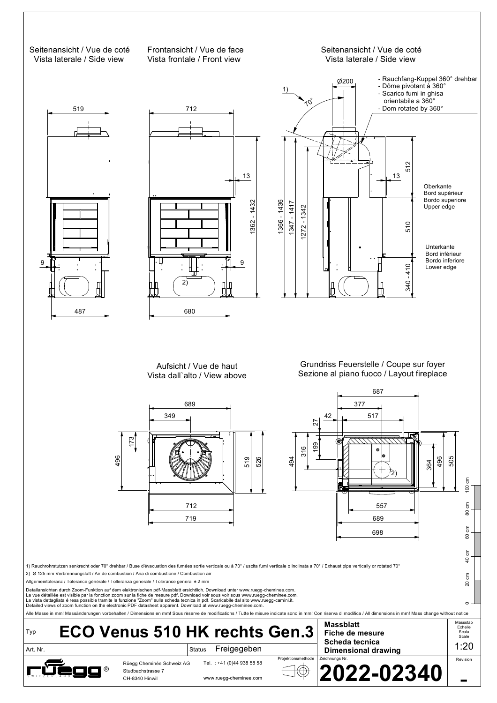